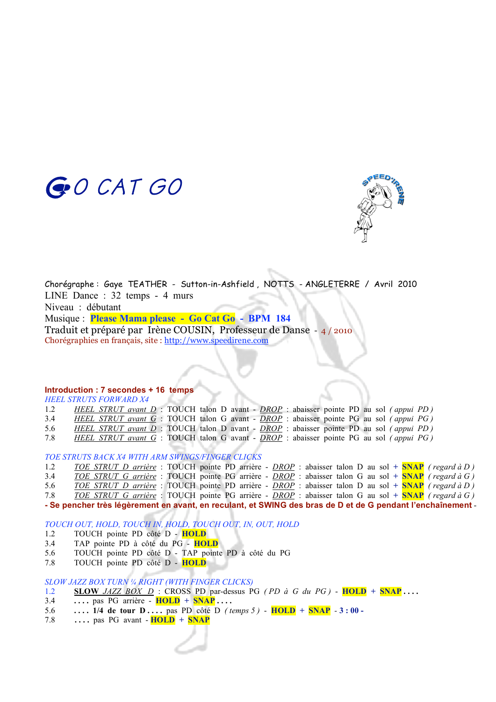



Chorégraphe : Gaye TEATHER - Sutton-in-Ashfield , NOTTS - ANGLETERRE / Avril 2010 LINE Dance : 32 temps - 4 murs Niveau : débutant Musique : **Please Mama please - Go Cat Go - BPM 184** Traduit et préparé par Irène COUSIN, Professeur de Danse - 4 / 2010 Chorégraphies en français, site : http://www.speedirene.com

#### **Introduction : 7 secondes + 16 temps**

*HEEL STRUTS FORWARD X4*

1.2 *HEEL STRUT avant D* : TOUCH talon D avant - *DROP* : abaisser pointe PD au sol *( appui PD )* 3.4 *HEEL STRUT avant G* : TOUCH talon G avant - *DROP* : abaisser pointe PG au sol *( appui PG )* 5.6 *HEEL STRUT avant D* : TOUCH talon D avant - *DROP* : abaisser pointe PD au sol *( appui PD )* 7.8 *HEEL STRUT avant G* : TOUCH talon G avant - *DROP* : abaisser pointe PG au sol *( appui PG )*

*TOE STRUTS BACK X4 WITH ARM SWINGS/FINGER CLICKS*

1.2 *TOE STRUT D arrière* : TOUCH pointe PD arrière - *DROP* : abaisser talon D au sol **+ SNAP** *( regard à D )* 3.4 *TOE STRUT G arrière* : TOUCH pointe PG arrière - *DROP* : abaisser talon G au sol **+ SNAP** *( regard à G )* 5.6 *TOE STRUT D arrière* : TOUCH pointe PD arrière - *DROP* : abaisser talon D au sol **+ SNAP** *( regard à D )* 7.8 *TOE STRUT G arrière* : TOUCH pointe PG arrière - *DROP* : abaisser talon G au sol **+ SNAP** *( regard à G )* **- Se pencher très légèrement en avant, en reculant, et SWING des bras de D et de G pendant l'enchaînement** -

*TOUCH OUT, HOLD, TOUCH IN, HOLD, TOUCH OUT, IN, OUT, HOLD*

- 1.2 TOUCH pointe PD côté D **HOLD**
- 3.4 TAP pointe PD à côté du PG **HOLD**
- 5.6 TOUCH pointe PD côté D TAP pointe PD à côté du PG
- 7.8 TOUCH pointe PD côté D **HOLD**

*SLOW JAZZ BOX TURN ¼ RIGHT (WITH FINGER CLICKS)*

- 1.2 **SLOW** *JAZZ BOX D* : CROSS PD par-dessus PG *( PD à G du PG )* **HOLD + SNAP . . . .**
- 3.4 **. . . .** pas PG arrière **HOLD + SNAP . . . .**
- 5.6 **. . . . 1/4 de tour D . . . .** pas PD côté D *( temps 5 )*  **HOLD + SNAP** *-* **3 : 00 -**
- 7.8 **. . . .** pas PG avant **HOLD + SNAP**